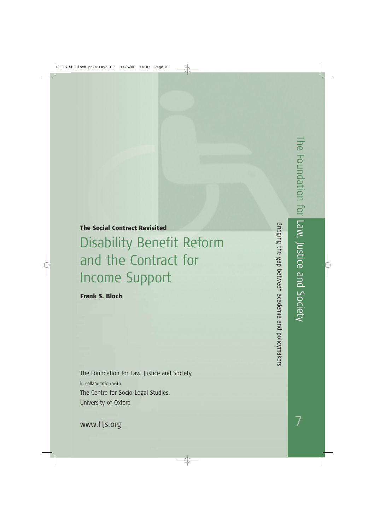# The Social Contract Revisited Disability Benefit Reform and the Contract for Income Support

Frank S. Bloch

The Foundation for Law, Justice and Society in collaboration with The Centre for Socio-Legal Studies, University of Oxford

Bridging the gap between academia and policymakers Bridging the gap between academia and policymakers

www.fljs.org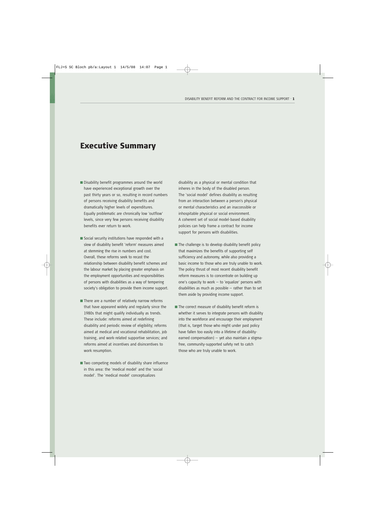# Executive Summary

- Disability benefit programmes around the world have experienced exceptional growth over the past thirty years or so, resulting in record numbers of persons receiving disability benefits and dramatically higher levels of expenditures. Equally problematic are chronically low 'outflow' levels, since very few persons receiving disability benefits ever return to work.
- Social security institutions have responded with a slew of disability benefit 'reform' measures aimed at stemming the rise in numbers and cost. Overall, these reforms seek to recast the relationship between disability benefit schemes and the labour market by placing greater emphasis on the employment opportunities and responsibilities of persons with disabilities as a way of tempering society's obligation to provide them income support.
- There are a number of relatively narrow reforms that have appeared widely and regularly since the 1980s that might qualify individually as trends. These include: reforms aimed at redefining disability and periodic review of eligibility; reforms aimed at medical and vocational rehabilitation, job training, and work-related supportive services; and reforms aimed at incentives and disincentives to work resumption.
- Two competing models of disability share influence in this area: the 'medical model' and the 'social model'. The 'medical model' conceptualizes

disability as a physical or mental condition that inheres in the body of the disabled person. The 'social model' defines disability as resulting from an interaction between a person's physical or mental characteristics and an inaccessible or inhospitable physical or social environment. A coherent set of social model-based disability policies can help frame a contract for income support for persons with disabilities.

- The challenge is to develop disability benefit policy that maximizes the benefits of supporting self sufficiency and autonomy, while also providing a basic income to those who are truly unable to work. The policy thrust of most recent disability benefit reform measures is to concentrate on building up one's capacity to work — to 'equalize' persons with disabilities as much as possible — rather than to set them aside by providing income support.
- The correct measure of disability benefit reform is whether it serves to integrate persons with disability into the workforce and encourage their employment (that is, target those who might under past policy have fallen too easily into a lifetime of disabilityearned compensation) — yet also maintain a stigmafree, community-supported safety net to catch those who are truly unable to work.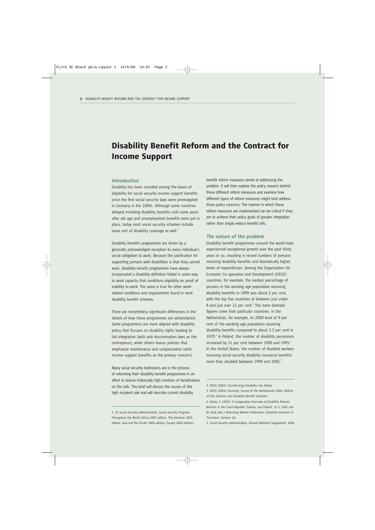# Disability Benefit Reform and the Contract for Income Support

#### *Introduction*

Disability has been included among the bases of eligibility for social security income support benefits since the first social security laws were promulgated in Germany in the 1890s. Although some countries delayed including disability benefits until some years after old age and unemployment benefits were put in place, today most social security schemes include some sort of disability coverage as well.<sup>1</sup>

Disability benefits programmes are driven by a generally acknowledged exception to every individual's social obligation to work. Because the justification for supporting persons with disabilities is that they cannot work, disability benefit programmes have always incorporated a disability definition linked in some way to work capacity that conditions eligibility on proof of inability to work. The same is true for other workrelated conditions and requirements found in most disability benefit schemes.

There are nonetheless significant differences in the details of how these programmes are administered. Some programmes are more aligned with disability policy that focuses on disability rights leading to full integration (with anti-discrimination laws as the centrepiece), while others favour policies that emphasize maintenance and compensation (with income support benefits as the primary concern).

Many social security institutions are in the process of reforming their disability benefit programmes in an effort to reduce historically high numbers of beneficiaries on the rolls. This brief will discuss the causes of this high recipient rate and will describe current disability

benefit reform measures aimed at addressing the problem. It will then explore the policy reasons behind these different reform measures and examine how different types of reform measures might best address those policy concerns. The manner in which these reform measures are implemented can be critical if they are to achieve their policy goals of greater integration rather than simply reduce benefit rolls.

#### *The nature of the problem*

Disability benefit programmes around the world have experienced exceptional growth over the past thirty years or so, resulting in record numbers of persons receiving disability benefits and dramatically higher levels of expenditures. Among the Organisation for Economic Co-operation and Development (OECD) countries, for example, the median percentage of persons in the working age population receiving disability benefits in 1999 was about 5 per cent, with the top five countries at between just under 8 and just over 13 per cent. $^2$  The more dramatic figures come from particular countries. In the Netherlands, for example, its 2000 level of 9 per cent of the working age population receiving disability benefits compared to about 3.5 per cent in  $1970$ .<sup>3</sup> In Poland, the number of disability pensioners increased by 31 per cent between 1990 and 1995.<sup>4</sup> In the United States, the number of disabled workers receiving social security disability insurance benefits more than doubled between 1990 and 2005.<sup>5</sup>

<sup>1.</sup> US Social Security Administration, Social Security Programs Throughout the World (Africa 2007 edition, The Americas 2005 edition, Asia and the Pacific 2006 edition, Europe 2006 edition).

<sup>2.</sup> OECD (2003) *Transforming Disability into Ability.* 

<sup>3.</sup> OECD (2004) *Economic Survey of the Netherlands 2004: Reform of the Sickness and Disability Benefit Schemes*.

<sup>4.</sup> Elaine, F. (2002) 'A Comparative Overview of Disability Pension Reforms in the Czech Republic, Estonia, and Poland'. In: E. Fultz and M. Ruck (eds.) *Reforming Worker Protections: Disability Pensions in Transition*. Geneva: ILO.

<sup>5.</sup> Social Security Administration, Annual Statistical Supplement, 2006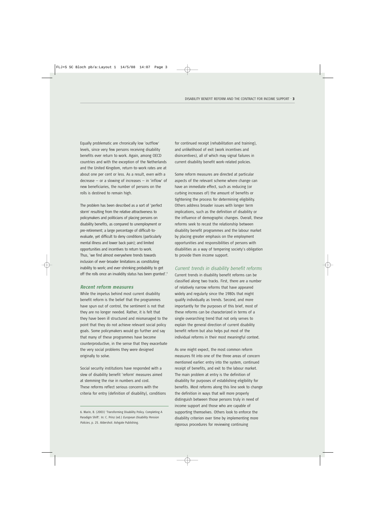Equally problematic are chronically low 'outflow' levels, since very few persons receiving disability benefits ever return to work. Again, among OECD countries and with the exception of the Netherlands and the United Kingdom, return-to-work rates are at about one per cent or less. As a result, even with a  $decrease - or a slowing of increases - in 'inflow' of$ new beneficiaries, the number of persons on the rolls is destined to remain high.

The problem has been described as a sort of 'perfect storm' resulting from the relative attractiveness to policymakers and politicians of placing persons on disability benefits, as compared to unemployment or pre-retirement; a large percentage of difficult-toevaluate, yet difficult to deny conditions (particularly mental illness and lower back pain); and limited opportunities and incentives to return to work. Thus, 'we find almost everywhere trends towards inclusion of ever-broader limitations as constituting inability to work; and ever-shrinking probability to get off the rolls once an invalidity status has been granted'.<sup>6</sup>

#### *Recent reform measures*

While the impetus behind most current disability benefit reform is the belief that the programmes have spun out of control, the sentiment is not that they are no longer needed. Rather, it is felt that they have been ill structured and mismanaged to the point that they do not achieve relevant social policy goals. Some policymakers would go further and say that many of these programmes have become counterproductive, in the sense that they exacerbate the very social problems they were designed originally to solve.

Social security institutions have responded with a slew of disability benefit 'reform' measures aimed at stemming the rise in numbers and cost. These reforms reflect serious concerns with the criteria for entry (definition of disability), conditions for continued receipt (rehabilitation and training), and unlikelihood of exit (work incentives and disincentives), all of which may signal failures in current disability benefit work-related policies.

Some reform measures are directed at particular aspects of the relevant scheme where change can have an immediate effect, such as reducing (or curbing increases of) the amount of benefits or tightening the process for determining eligibility. Others address broader issues with longer term implications, such as the definition of disability or the influence of demographic changes. Overall, these reforms seek to recast the relationship between disability benefit programmes and the labour market by placing greater emphasis on the employment opportunities and responsibilities of persons with disabilities as a way of tempering society's obligation to provide them income support.

#### *Current trends in disability benefit reforms*

Current trends in disability benefit reforms can be classified along two tracks. First, there are a number of relatively narrow reforms that have appeared widely and regularly since the 1980s that might qualify individually as trends. Second, and more importantly for the purposes of this brief, most of these reforms can be characterized in terms of a single overarching trend that not only serves to explain the general direction of current disability benefit reform but also helps put most of the individual reforms in their most meaningful context.

As one might expect, the most common reform measures fit into one of the three areas of concern mentioned earlier: entry into the system, continued receipt of benefits, and exit to the labour market. The main problem at entry is the definition of disability for purposes of establishing eligibility for benefits. Most reforms along this line seek to change the definition in ways that will more properly distinguish between those persons truly in need of income support and those who are capable of supporting themselves. Others look to enforce the disability criterion over time by implementing more rigorous procedures for reviewing continuing

<sup>6.</sup> Marin, B. (2003) 'Transforming Disability Policy. Completing A Paradigm Shift'. In: C. Prinz (ed.) *European Disability Pension Policies*, p. 25. Aldershot: Ashgate Publishing.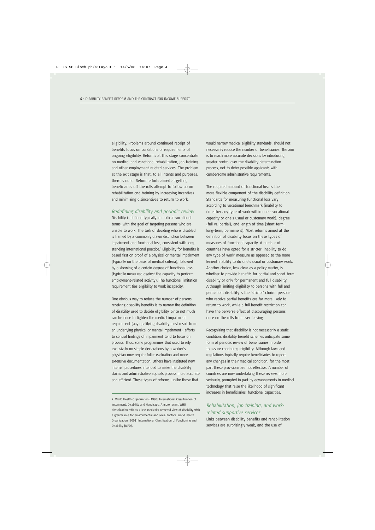eligibility. Problems around continued receipt of benefits focus on conditions or requirements of ongoing eligibility. Reforms at this stage concentrate on medical and vocational rehabilitation, job training, and other employment-related services. The problem at the exit stage is that, to all intents and purposes, there is none. Reform efforts aimed at getting beneficiaries off the rolls attempt to follow up on rehabilitation and training by increasing incentives and minimizing disincentives to return to work.

#### *Redefining disability and periodic review*

Disability is defined typically in medical–vocational terms, with the goal of targeting persons who are unable to work. The task of deciding who is disabled is framed by a commonly drawn distinction between impairment and functional loss, consistent with longstanding international practice.<sup>7</sup> Eligibility for benefits is based first on proof of a physical or mental impairment (typically on the basis of medical criteria), followed by a showing of a certain degree of functional loss (typically measured against the capacity to perform employment-related activity). The functional limitation requirement ties eligibility to work incapacity.

One obvious way to reduce the number of persons receiving disability benefits is to narrow the definition of disability used to decide eligibility. Since not much can be done to tighten the medical impairment requirement (any qualifying disability must result from an underlying physical or mental impairment), efforts to control findings of impairment tend to focus on process. Thus, some programmes that used to rely exclusively on simple declarations by a worker's physician now require fuller evaluation and more extensive documentation. Others have instituted new internal procedures intended to make the disability claims and administrative appeals process more accurate and efficient. These types of reforms, unlike those that

would narrow medical eligibility standards, should not necessarily reduce the number of beneficiaries. The aim is to reach more accurate decisions by introducing greater control over the disability determination process, not to deter possible applicants with cumbersome administrative requirements.

The required amount of functional loss is the more flexible component of the disability definition. Standards for measuring functional loss vary according to vocational benchmark (inability to do either any type of work within one's vocational capacity or one's usual or customary work), degree (full vs. partial), and length of time (short-term, long-term, permanent). Most reforms aimed at the definition of disability focus on these types of measures of functional capacity. A number of countries have opted for a stricter 'inability to do any type of work' measure as opposed to the more lenient inability to do one's usual or customary work. Another choice, less clear as a policy matter, is whether to provide benefits for partial and short-term disability or only for permanent and full disability. Although limiting eligibility to persons with full and permanent disability is the 'stricter' choice, persons who receive partial benefits are far more likely to return to work, while a full benefit restriction can have the perverse effect of discouraging persons once on the rolls from ever leaving.

Recognizing that disability is not necessarily a static condition, disability benefit schemes anticipate some form of periodic review of beneficiaries in order to assure continuing eligibility. Although laws and regulations typically require beneficiaries to report any changes in their medical condition, for the most part these provisions are not effective. A number of countries are now undertaking these reviews more seriously, prompted in part by advancements in medical technology that raise the likelihood of significant increases in beneficiaries' functional capacities.

# *Rehabilitation, job training, and workrelated supportive services*

Links between disability benefits and rehabilitation services are surprisingly weak, and the use of

<sup>7.</sup> World Health Organization (1980) International Classification of Impairment, Disability and Handicaps. A more recent WHO classification reflects a less medically centered view of disability with a greater role for environmental and social factors. World Health Organization (2001) International Classification of Functioning and Disability (ICFD).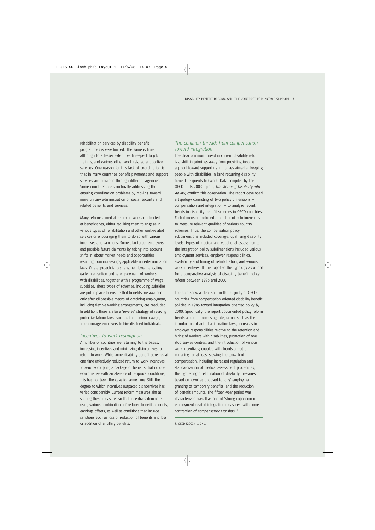rehabilitation services by disability benefit programmes is very limited. The same is true, although to a lesser extent, with respect to job training and various other work-related supportive services. One reason for this lack of coordination is that in many countries benefit payments and support services are provided through different agencies. Some countries are structurally addressing the ensuing coordination problems by moving toward more unitary administration of social security and related benefits and services.

Many reforms aimed at return-to-work are directed at beneficiaries, either requiring them to engage in various types of rehabilitation and other work-related services or encouraging them to do so with various incentives and sanctions. Some also target employers and possible future claimants by taking into account shifts in labour market needs and opportunities resulting from increasingly applicable anti-discrimination laws. One approach is to strengthen laws mandating early intervention and re-employment of workers with disabilities, together with a programme of wage subsidies. These types of schemes, including subsidies, are put in place to ensure that benefits are awarded only after all possible means of obtaining employment, including flexible working arrangements, are precluded. In addition, there is also a 'reverse' strategy of relaxing protective labour laws, such as the minimum wage, to encourage employers to hire disabled individuals.

#### *Incentives to work resumption*

A number of countries are returning to the basics: increasing incentives and minimizing disincentives to return to work. While some disability benefit schemes at one time effectively reduced return-to-work incentives to zero by coupling a package of benefits that no one would refuse with an absence of reciprocal conditions, this has not been the case for some time. Still, the degree to which incentives outpaced disincentives has varied considerably. Current reform measures aim at shifting these measures so that incentives dominate, using various combinations of reduced benefit amounts, earnings offsets, as well as conditions that include sanctions such as loss or reduction of benefits and loss or addition of ancillary benefits.

### *The common thread: from compensation toward integration*

The clear common thread in current disability reform is a shift in priorities away from providing income support toward supporting initiatives aimed at keeping people with disabilities in (and returning disability benefit recipients to) work. Data compiled by the OECD in its 2003 report, *Transforming Disability into Ability*, confirm this observation. The report developed a typology consisting of two policy dimensions compensation and integration  $-$  to analyze recent trends in disability benefit schemes in OECD countries. Each dimension included a number of subdimensions to measure relevant qualities of various country schemes. Thus, the compensation policy subdimensions included coverage, qualifying disability levels, types of medical and vocational assessments; the integration policy subdimensions included various employment services, employer responsibilities, availability and timing of rehabilitation, and various work incentives. It then applied the typology as a tool for a comparative analysis of disability benefit policy reform between 1985 and 2000.

The data show a clear shift in the majority of OECD countries from compensation-oriented disability benefit policies in 1985 toward integration-oriented policy by 2000. Specifically, the report documented policy reform trends aimed at increasing integration, such as the introduction of anti-discrimination laws, increases in employer responsibilities relative to the retention and hiring of workers with disabilities, promotion of onestop service centres, and the introduction of various work incentives; coupled with trends aimed at curtailing (or at least slowing the growth of) compensation, including increased regulation and standardization of medical assessment procedures, the tightening or elimination of disability measures based on 'own' as opposed to 'any' employment, granting of temporary benefits, and the reduction of benefit amounts. The fifteen-year period was characterized overall as one of 'strong expansion of employment-related integration measures, with some contraction of compensatory transfers'.<sup>8</sup>

8. OECD (2003), p. 141.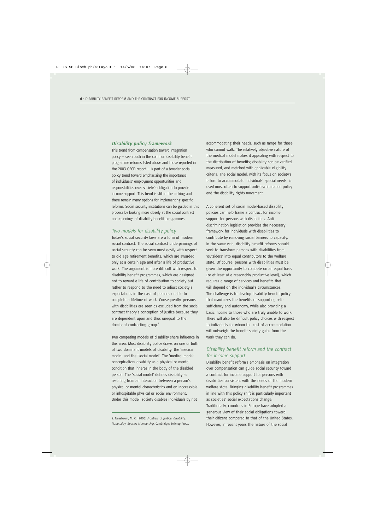#### *Disability policy framework*

This trend from compensation toward integration policy — seen both in the common disability benefit programme reforms listed above and those reported in the 2003 OECD report  $-$  is part of a broader social policy trend toward emphasizing the importance of individuals' employment opportunities and responsibilities over society's obligation to provide income support. This trend is still in the making and there remain many options for implementing specific reforms. Social security institutions can be guided in this process by looking more closely at the social contract underpinnings of disability benefit programmes.

#### *Two models for disability policy*

Today's social security laws are a form of modern social contract. The social contract underpinnings of social security can be seen most easily with respect to old age retirement benefits, which are awarded only at a certain age and after a life of productive work. The argument is more difficult with respect to disability benefit programmes, which are designed not to reward a life of contribution to society but rather to respond to the need to adjust society's expectations in the case of persons unable to complete a lifetime of work. Consequently, persons with disabilities are seen as excluded from the social contract theory's conception of justice because they are dependent upon and thus unequal to the dominant contracting group.<sup>9</sup>

Two competing models of disability share influence in this area. Most disability policy draws on one or both of two dominant models of disability: the 'medical model' and the 'social model'. The 'medical model' conceptualizes disability as a physical or mental condition that inheres in the body of the disabled person. The 'social model' defines disability as resulting from an interaction between a person's physical or mental characteristics and an inaccessible or inhospitable physical or social environment. Under this model, society disables individuals by not

accommodating their needs, such as ramps for those who cannot walk. The relatively objective nature of the medical model makes it appealing with respect to the distribution of benefits; disability can be verified, measured, and matched with applicable eligibility criteria. The social model, with its focus on society's failure to accommodate individuals' special needs, is used most often to support anti-discrimination policy and the disability rights movement.

A coherent set of social model-based disability policies can help frame a contract for income support for persons with disabilities. Antidiscrimination legislation provides the necessary framework for individuals with disabilities to contribute by removing social barriers to capacity. In the same vein, disability benefit reforms should seek to transform persons with disabilities from 'outsiders' into equal contributors to the welfare state. Of course, persons with disabilities must be given the opportunity to compete on an equal basis (or at least at a reasonably productive level), which requires a range of services and benefits that will depend on the individual's circumstances. The challenge is to develop disability benefit policy that maximizes the benefits of supporting selfsufficiency and autonomy, while also providing a basic income to those who are truly unable to work. There will also be difficult policy choices with respect to individuals for whom the cost of accommodation will outweigh the benefit society gains from the work they can do.

## *Disability benefit reform and the contract for income support*

Disability benefit reform's emphasis on integration over compensation can guide social security toward a contract for income support for persons with disabilities consistent with the needs of the modern welfare state. Bringing disability benefit programmes in line with this policy shift is particularly important as societies' social expectations change. Traditionally, countries in Europe have adopted a generous view of their social obligations toward their citizens compared to that of the United States. However, in recent years the nature of the social

<sup>9.</sup> Nussbaum, M. C. (2006) *Frontiers of Justice: Disability, Nationality, Species Membership*. Cambridge: Belknap Press.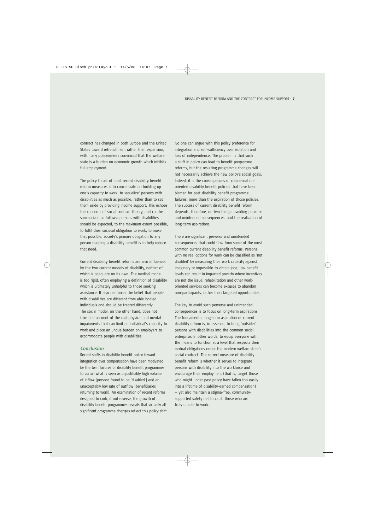contract has changed in both Europe and the United States toward retrenchment rather than expansion, with many policymakers convinced that the welfare state is a burden on economic growth which inhibits full employment.

The policy thrust of most recent disability benefit reform measures is to concentrate on building up one's capacity to work, to 'equalize' persons with disabilities as much as possible, rather than to set them aside by providing income support. This echoes the concerns of social contract theory, and can be summarized as follows: persons with disabilities should be expected, to the maximum extent possible, to fulfil their societal obligation to work; to make that possible, society's primary obligation to any person needing a disability benefit is to help reduce that need.

Current disability benefit reforms are also influenced by the two current models of disability, neither of which is adequate on its own. The medical model is too rigid, often employing a definition of disability which is ultimately unhelpful to those seeking assistance. It also reinforces the belief that people with disabilities are different from able-bodied individuals and should be treated differently. The social model, on the other hand, does not take due account of the real physical and mental impairments that can limit an individual's capacity to work and place an undue burden on employers to accommodate people with disabilities.

#### *Conclusion*

Recent shifts in disability benefit policy toward integration over compensation have been motivated by the twin failures of disability benefit programmes to curtail what is seen as unjustifiably high volume of inflow (persons found to be 'disabled') and an unacceptably low rate of outflow (beneficiaries returning to work). An examination of recent reforms designed to curb, if not reverse, the growth of disability benefit programmes reveals that virtually all significant programme changes reflect this policy shift. No one can argue with this policy preference for integration and self-sufficiency over isolation and loss of independence. The problem is that such a shift in policy can lead to benefit programme reforms, but the resulting programme changes will not necessarily achieve the new policy's social goals. Indeed, it is the consequences of compensationoriented disability benefit policies that have been blamed for past disability benefit programme failures, more than the aspiration of those policies. The success of current disability benefit reform depends, therefore, on two things: avoiding perverse and unintended consequences, and the realization of long-term aspirations.

There are significant perverse and unintended consequences that could flow from some of the most common current disability benefit reforms. Persons with no real options for work can be classified as 'not disabled' by measuring their work capacity against imaginary or impossible-to-obtain jobs; low benefit levels can result in impacted poverty where incentives are not the issue; rehabilitation and other workoriented services can become excuses to abandon non-participants, rather than targeted opportunities.

The key to avoid such perverse and unintended consequences is to focus on long-term aspirations. The fundamental long-term aspiration of current disability reform is, in essence, to bring 'outsider' persons with disabilities into the common social enterprise. In other words, to equip everyone with the means to function at a level that respects their mutual obligations under the modern welfare state's social contract. The correct measure of disability benefit reform is whether it serves to integrate persons with disability into the workforce and encourage their employment (that is, target those who might under past policy have fallen too easily into a lifetime of disability-earned compensation) — yet also maintain a stigma-free, communitysupported safety net to catch those who are truly unable to work.